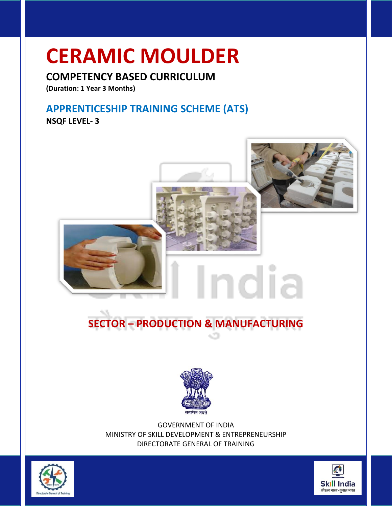## **CERAMIC MOULDER**

### **COMPETENCY BASED CURRICULUM**

**(Duration: 1 Year 3 Months)**

### **APPRENTICESHIP TRAINING SCHEME (ATS)**

**NSQF LEVEL- 3**



## **SECTOR – PRODUCTION & MANUFACTURING**



GOVERNMENT OF INDIA MINISTRY OF SKILL DEVELOPMENT & ENTREPRENEURSHIP DIRECTORATE GENERAL OF TRAINING



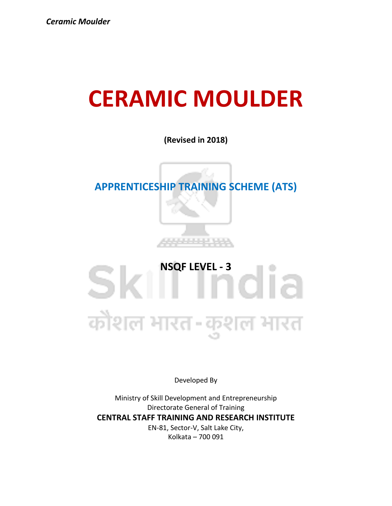## **CERAMIC MOULDER**

**(Revised in 2018)**

### **APPRENTICESHIP TRAINING SCHEME (ATS)**



SKI 100 कोशल भारत-कुशल भारत

Developed By

Ministry of Skill Development and Entrepreneurship Directorate General of Training **CENTRAL STAFF TRAINING AND RESEARCH INSTITUTE** EN-81, Sector-V, Salt Lake City, Kolkata – 700 091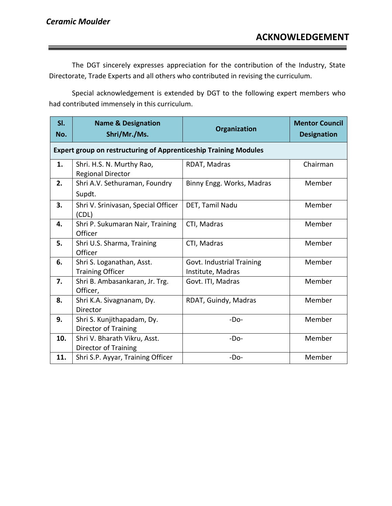The DGT sincerely expresses appreciation for the contribution of the Industry, State Directorate, Trade Experts and all others who contributed in revising the curriculum.

Special acknowledgement is extended by DGT to the following expert members who had contributed immensely in this curriculum.

| SI.<br>No. | <b>Name &amp; Designation</b><br>Shri/Mr./Ms.                           | Organization                                   | <b>Mentor Council</b><br><b>Designation</b> |
|------------|-------------------------------------------------------------------------|------------------------------------------------|---------------------------------------------|
|            | <b>Expert group on restructuring of Apprenticeship Training Modules</b> |                                                |                                             |
| 1.         | Shri. H.S. N. Murthy Rao,<br><b>Regional Director</b>                   | RDAT, Madras                                   | Chairman                                    |
| 2.         | Shri A.V. Sethuraman, Foundry<br>Supdt.                                 | Binny Engg. Works, Madras                      | Member                                      |
| 3.         | Shri V. Srinivasan, Special Officer<br>(CDL)                            | DET, Tamil Nadu                                | Member                                      |
| 4.         | Shri P. Sukumaran Nair, Training<br>Officer                             | CTI, Madras                                    | Member                                      |
| 5.         | Shri U.S. Sharma, Training<br>Officer                                   | CTI, Madras                                    | Member                                      |
| 6.         | Shri S. Loganathan, Asst.<br><b>Training Officer</b>                    | Govt. Industrial Training<br>Institute, Madras | Member                                      |
| 7.         | Shri B. Ambasankaran, Jr. Trg.<br>Officer,                              | Govt. ITI, Madras                              | Member                                      |
| 8.         | Shri K.A. Sivagnanam, Dy.<br>Director                                   | RDAT, Guindy, Madras                           | Member                                      |
| 9.         | Shri S. Kunjithapadam, Dy.<br>Director of Training                      | $-Do-$                                         | Member                                      |
| 10.        | Shri V. Bharath Vikru, Asst.<br>Director of Training                    | $-Do-$                                         | Member                                      |
| 11.        | Shri S.P. Ayyar, Training Officer                                       | $-Do-$                                         | Member                                      |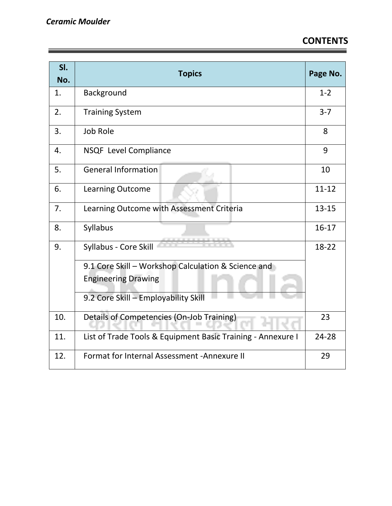| SI.<br>No. | <b>Topics</b>                                               | Page No.  |
|------------|-------------------------------------------------------------|-----------|
| 1.         | Background                                                  | $1 - 2$   |
| 2.         | <b>Training System</b>                                      | $3 - 7$   |
| 3.         | Job Role                                                    | 8         |
| 4.         | NSQF Level Compliance                                       | 9         |
| 5.         | <b>General Information</b>                                  | 10        |
| 6.         | <b>Learning Outcome</b>                                     | $11 - 12$ |
| 7.         | Learning Outcome with Assessment Criteria                   | $13 - 15$ |
| 8.         | Syllabus                                                    | $16-17$   |
| 9.         | Syllabus - Core Skill                                       | 18-22     |
|            | 9.1 Core Skill - Workshop Calculation & Science and         |           |
|            | <b>Engineering Drawing</b>                                  |           |
|            | 9.2 Core Skill - Employability Skill                        |           |
| 10.        | Details of Competencies (On-Job Training)                   | 23        |
| 11.        | List of Trade Tools & Equipment Basic Training - Annexure I | 24-28     |
| 12.        | Format for Internal Assessment - Annexure II                | 29        |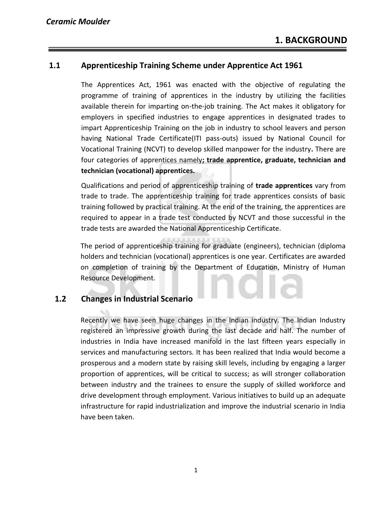### **1.1 Apprenticeship Training Scheme under Apprentice Act 1961**

The Apprentices Act, 1961 was enacted with the objective of regulating the programme of training of apprentices in the industry by utilizing the facilities available therein for imparting on-the-job training. The Act makes it obligatory for employers in specified industries to engage apprentices in designated trades to impart Apprenticeship Training on the job in industry to school leavers and person having National Trade Certificate(ITI pass-outs) issued by National Council for Vocational Training (NCVT) to develop skilled manpower for the industry**.** There are four categories of apprentices namely**; trade apprentice, graduate, technician and technician (vocational) apprentices.** 

Qualifications and period of apprenticeship training of **trade apprentices** vary from trade to trade. The apprenticeship training for trade apprentices consists of basic training followed by practical training. At the end of the training, the apprentices are required to appear in a trade test conducted by NCVT and those successful in the trade tests are awarded the National Apprenticeship Certificate.

The period of apprenticeship training for graduate (engineers), technician (diploma holders and technician (vocational) apprentices is one year. Certificates are awarded on completion of training by the Department of Education, Ministry of Human Resource Development.

### **1.2 Changes in Industrial Scenario**

Recently we have seen huge changes in the Indian industry. The Indian Industry registered an impressive growth during the last decade and half. The number of industries in India have increased manifold in the last fifteen years especially in services and manufacturing sectors. It has been realized that India would become a prosperous and a modern state by raising skill levels, including by engaging a larger proportion of apprentices, will be critical to success; as will stronger collaboration between industry and the trainees to ensure the supply of skilled workforce and drive development through employment. Various initiatives to build up an adequate infrastructure for rapid industrialization and improve the industrial scenario in India have been taken.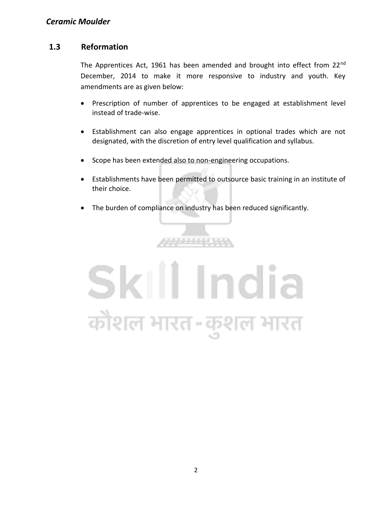### **1.3 Reformation**

The Apprentices Act, 1961 has been amended and brought into effect from 22<sup>nd</sup> December, 2014 to make it more responsive to industry and youth. Key amendments are as given below:

- Prescription of number of apprentices to be engaged at establishment level instead of trade-wise.
- Establishment can also engage apprentices in optional trades which are not designated, with the discretion of entry level qualification and syllabus.
- Scope has been extended also to non-engineering occupations.
- Establishments have been permitted to outsource basic training in an institute of their choice.
- The burden of compliance on industry has been reduced significantly.

,,,,,,,,,,,,

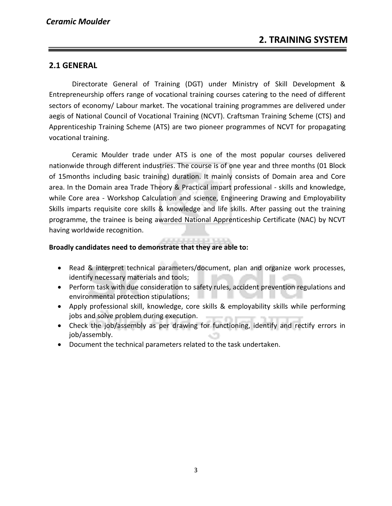### **2.1 GENERAL**

Directorate General of Training (DGT) under Ministry of Skill Development & Entrepreneurship offers range of vocational training courses catering to the need of different sectors of economy/ Labour market. The vocational training programmes are delivered under aegis of National Council of Vocational Training (NCVT). Craftsman Training Scheme (CTS) and Apprenticeship Training Scheme (ATS) are two pioneer programmes of NCVT for propagating vocational training.

Ceramic Moulder trade under ATS is one of the most popular courses delivered nationwide through different industries. The course is of one year and three months (01 Block of 15months including basic training) duration. It mainly consists of Domain area and Core area. In the Domain area Trade Theory & Practical impart professional - skills and knowledge, while Core area - Workshop Calculation and science, Engineering Drawing and Employability Skills imparts requisite core skills & knowledge and life skills. After passing out the training programme, the trainee is being awarded National Apprenticeship Certificate (NAC) by NCVT having worldwide recognition.

### **Broadly candidates need to demonstrate that they are able to:**

- Read & interpret technical parameters/document, plan and organize work processes, identify necessary materials and tools;
- Perform task with due consideration to safety rules, accident prevention regulations and environmental protection stipulations;
- Apply professional skill, knowledge, core skills & employability skills while performing jobs and solve problem during execution.
- Check the job/assembly as per drawing for functioning, identify and rectify errors in job/assembly.
- Document the technical parameters related to the task undertaken.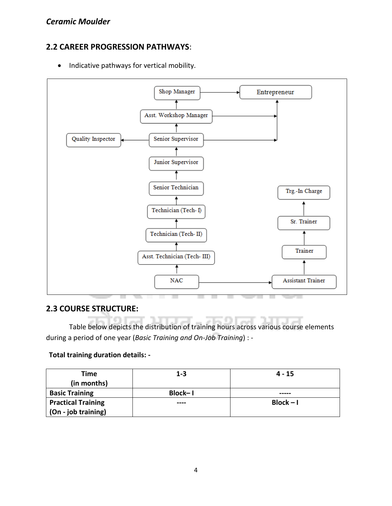### **2.2 CAREER PROGRESSION PATHWAYS**:

• Indicative pathways for vertical mobility.



### **2.3 COURSE STRUCTURE:**

Table below depicts the distribution of training hours across various course elements during a period of one year (*Basic Training and On-Job Training*) : -

### **Total training duration details: -**

| Time                      | $1 - 3$        | $4 - 15$    |
|---------------------------|----------------|-------------|
| (in months)               |                |             |
| <b>Basic Training</b>     | <b>Block-1</b> | -----       |
| <b>Practical Training</b> | ----           | $Block - I$ |
| (On - job training)       |                |             |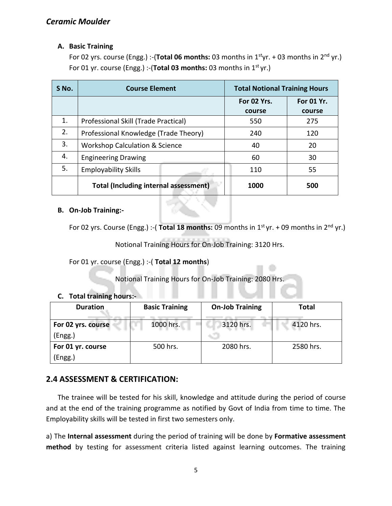### **A. Basic Training**

For 02 yrs. course (Engg.) :-(Total 06 months: 03 months in 1<sup>st</sup>yr. + 03 months in 2<sup>nd</sup> yr.) For 01 yr. course (Engg.) :-(Total 03 months: 03 months in 1<sup>st</sup> yr.)

| S No. | <b>Course Element</b>                        |             | <b>Total Notional Training Hours</b> |  |
|-------|----------------------------------------------|-------------|--------------------------------------|--|
|       |                                              | For 02 Yrs. | For 01 Yr.                           |  |
|       |                                              | course      | course                               |  |
| 1.    | Professional Skill (Trade Practical)         | 550         | 275                                  |  |
| 2.    | Professional Knowledge (Trade Theory)        | 240         | 120                                  |  |
| 3.    | <b>Workshop Calculation &amp; Science</b>    | 40          | 20                                   |  |
| 4.    | <b>Engineering Drawing</b>                   | 60          | 30                                   |  |
| 5.    | <b>Employability Skills</b>                  | 110         | 55                                   |  |
|       | <b>Total (Including internal assessment)</b> | 1000        | 500                                  |  |

### **B. On-Job Training:-**

For 02 yrs. Course (Engg.) :- (Total 18 months: 09 months in 1<sup>st</sup> yr. + 09 months in 2<sup>nd</sup> yr.)

Notional Training Hours for On-Job Training: 3120 Hrs.

For 01 yr. course (Engg.) :-( **Total 12 months**)

Notional Training Hours for On-Job Training: 2080 Hrs.

### **C. Total training hours:-**

| <b>Duration</b>    | <b>Basic Training</b> | <b>On-Job Training</b> | <b>Total</b> |
|--------------------|-----------------------|------------------------|--------------|
| For 02 yrs. course | 1000 hrs.             | 3120 hrs.              | 4120 hrs.    |
| (Engg.)            |                       |                        |              |
| For 01 yr. course  | 500 hrs.              | 2080 hrs.              | 2580 hrs.    |
| (Engg.)            |                       |                        |              |

### **2.4 ASSESSMENT & CERTIFICATION:**

The trainee will be tested for his skill, knowledge and attitude during the period of course and at the end of the training programme as notified by Govt of India from time to time. The Employability skills will be tested in first two semesters only.

a) The **Internal assessment** during the period of training will be done by **Formative assessment method** by testing for assessment criteria listed against learning outcomes. The training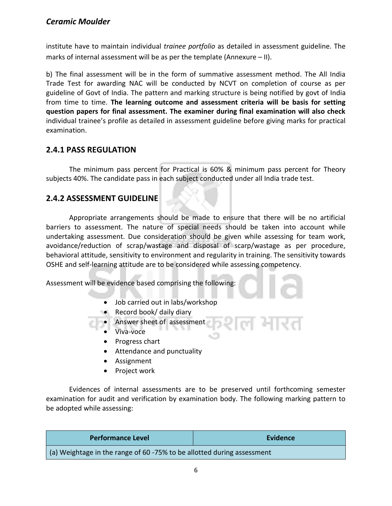institute have to maintain individual *trainee portfolio* as detailed in assessment guideline. The marks of internal assessment will be as per the template (Annexure – II).

b) The final assessment will be in the form of summative assessment method. The All India Trade Test for awarding NAC will be conducted by NCVT on completion of course as per guideline of Govt of India. The pattern and marking structure is being notified by govt of India from time to time. **The learning outcome and assessment criteria will be basis for setting question papers for final assessment. The examiner during final examination will also check**  individual trainee's profile as detailed in assessment guideline before giving marks for practical examination.

### **2.4.1 PASS REGULATION**

The minimum pass percent for Practical is 60% & minimum pass percent for Theory subjects 40%. The candidate pass in each subject conducted under all India trade test.

### **2.4.2 ASSESSMENT GUIDELINE**

Appropriate arrangements should be made to ensure that there will be no artificial barriers to assessment. The nature of special needs should be taken into account while undertaking assessment. Due consideration should be given while assessing for team work, avoidance/reduction of scrap/wastage and disposal of scarp/wastage as per procedure, behavioral attitude, sensitivity to environment and regularity in training. The sensitivity towards OSHE and self-learning attitude are to be considered while assessing competency.

Assessment will be evidence based comprising the following:

- Job carried out in labs/workshop
- Record book/ daily diary
- Answer sheet of assessment
	- Viva-voce
	- Progress chart
	- Attendance and punctuality
	- Assignment
	- Project work

Evidences of internal assessments are to be preserved until forthcoming semester examination for audit and verification by examination body. The following marking pattern to be adopted while assessing:

| <b>Performance Level</b>                                               | <b>Evidence</b> |
|------------------------------------------------------------------------|-----------------|
| (a) Weightage in the range of 60 -75% to be allotted during assessment |                 |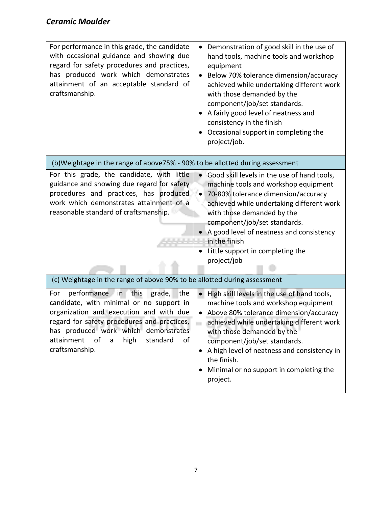| For performance in this grade, the candidate<br>with occasional guidance and showing due<br>regard for safety procedures and practices,<br>has produced work which demonstrates<br>attainment of an acceptable standard of<br>craftsmanship.                                                       | Demonstration of good skill in the use of<br>hand tools, machine tools and workshop<br>equipment<br>Below 70% tolerance dimension/accuracy<br>$\bullet$<br>achieved while undertaking different work<br>with those demanded by the<br>component/job/set standards.<br>A fairly good level of neatness and<br>consistency in the finish<br>Occasional support in completing the<br>project/job. |
|----------------------------------------------------------------------------------------------------------------------------------------------------------------------------------------------------------------------------------------------------------------------------------------------------|------------------------------------------------------------------------------------------------------------------------------------------------------------------------------------------------------------------------------------------------------------------------------------------------------------------------------------------------------------------------------------------------|
| (b)Weightage in the range of above75% - 90% to be allotted during assessment                                                                                                                                                                                                                       |                                                                                                                                                                                                                                                                                                                                                                                                |
| For this grade, the candidate, with little<br>guidance and showing due regard for safety<br>procedures and practices, has produced<br>work which demonstrates attainment of a<br>reasonable standard of craftsmanship.<br>(c) Weightage in the range of above 90% to be allotted during assessment | Good skill levels in the use of hand tools,<br>$\bullet$<br>machine tools and workshop equipment<br>70-80% tolerance dimension/accuracy<br>$\bullet$<br>achieved while undertaking different work<br>with those demanded by the<br>component/job/set standards.<br>A good level of neatness and consistency<br>in the finish<br>Little support in completing the<br>project/job                |
| performance<br>the<br>For<br>this<br>grade,<br>$\blacksquare$ in                                                                                                                                                                                                                                   | High skill levels in the use of hand tools,<br>$\bullet$                                                                                                                                                                                                                                                                                                                                       |
| candidate, with minimal or no support in<br>organization and execution and with due<br>regard for safety procedures and practices,<br>has produced work which demonstrates<br>attainment<br>of<br>high<br>standard<br>of<br>a<br>craftsmanship.                                                    | machine tools and workshop equipment<br>Above 80% tolerance dimension/accuracy<br>achieved while undertaking different work<br>with those demanded by the<br>component/job/set standards.<br>A high level of neatness and consistency in<br>the finish.<br>Minimal or no support in completing the<br>project.                                                                                 |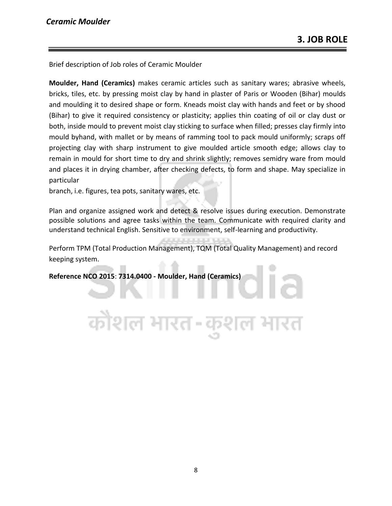Brief description of Job roles of Ceramic Moulder

**Moulder, Hand (Ceramics)** makes ceramic articles such as sanitary wares; abrasive wheels, bricks, tiles, etc. by pressing moist clay by hand in plaster of Paris or Wooden (Bihar) moulds and moulding it to desired shape or form. Kneads moist clay with hands and feet or by shood (Bihar) to give it required consistency or plasticity; applies thin coating of oil or clay dust or both, inside mould to prevent moist clay sticking to surface when filled; presses clay firmly into mould byhand, with mallet or by means of ramming tool to pack mould uniformly; scraps off projecting clay with sharp instrument to give moulded article smooth edge; allows clay to remain in mould for short time to dry and shrink slightly; removes semidry ware from mould and places it in drying chamber, after checking defects, to form and shape. May specialize in particular

branch, i.e. figures, tea pots, sanitary wares, etc.

Plan and organize assigned work and detect & resolve issues during execution. Demonstrate possible solutions and agree tasks within the team. Communicate with required clarity and understand technical English. Sensitive to environment, self-learning and productivity.

Perform TPM (Total Production Management), TQM (Total Quality Management) and record keeping system.

**Reference NCO 2015**: **7314.0400 - Moulder, Hand (Ceramics)**

त्रौशल भारत-र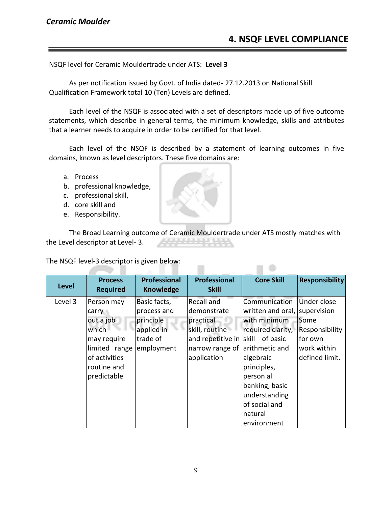### **4. NSQF LEVEL COMPLIANCE**

NSQF level for Ceramic Mouldertrade under ATS: **Level 3**

As per notification issued by Govt. of India dated- 27.12.2013 on National Skill Qualification Framework total 10 (Ten) Levels are defined.

Each level of the NSQF is associated with a set of descriptors made up of five outcome statements, which describe in general terms, the minimum knowledge, skills and attributes that a learner needs to acquire in order to be certified for that level.

Each level of the NSQF is described by a statement of learning outcomes in five domains, known as level descriptors. These five domains are:

- a. Process
- b. professional knowledge,
- c. professional skill,
- d. core skill and
- e. Responsibility.

The Broad Learning outcome of Ceramic Mouldertrade under ATS mostly matches with the Level descriptor at Level- 3.

 $\Box$ 

The NSQF level-3 descriptor is given below: 75 H

| <b>Level</b> | <b>Process</b><br><b>Required</b>                                                                                        | <b>Professional</b><br><b>Knowledge</b>                                          | <b>Professional</b><br><b>Skill</b>                                                                             | <b>Core Skill</b>                                                                                                                                                                                                                   | <b>Responsibility</b>                                                             |
|--------------|--------------------------------------------------------------------------------------------------------------------------|----------------------------------------------------------------------------------|-----------------------------------------------------------------------------------------------------------------|-------------------------------------------------------------------------------------------------------------------------------------------------------------------------------------------------------------------------------------|-----------------------------------------------------------------------------------|
| Level 3      | Person may<br>carry<br>out a job<br>which<br>may require<br>limited range<br>of activities<br>routine and<br>predictable | Basic facts,<br>process and<br>principle<br>applied in<br>trade of<br>employment | Recall and<br>demonstrate<br>practical<br>skill, routine<br>and repetitive in<br>narrow range of<br>application | Communication<br>written and oral, supervision<br>with minimum<br>required clarity,<br>of basic<br>Iskill<br>arithmetic and<br>algebraic<br>principles,<br>person al<br>banking, basic<br>understanding<br>of social and<br>natural | Under close<br>Some<br>Responsibility<br>for own<br>work within<br>defined limit. |
|              |                                                                                                                          |                                                                                  |                                                                                                                 | environment                                                                                                                                                                                                                         |                                                                                   |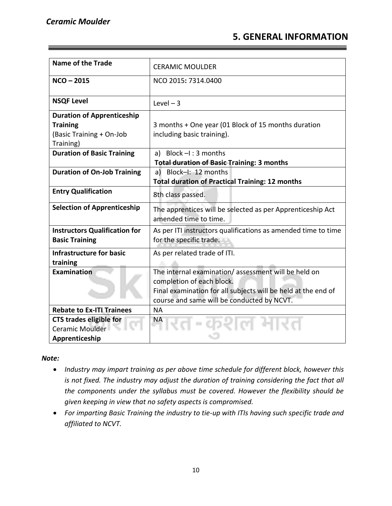### **5. GENERAL INFORMATION**

| <b>Name of the Trade</b>             | <b>CERAMIC MOULDER</b>                                        |
|--------------------------------------|---------------------------------------------------------------|
| $NCO - 2015$                         | NCO 2015: 7314.0400                                           |
|                                      |                                                               |
| <b>NSQF Level</b>                    | Level $-3$                                                    |
| <b>Duration of Apprenticeship</b>    |                                                               |
| <b>Training</b>                      | 3 months + One year (01 Block of 15 months duration           |
|                                      |                                                               |
| (Basic Training + On-Job             | including basic training).                                    |
| Training)                            |                                                               |
| <b>Duration of Basic Training</b>    | a) Block $-I$ : 3 months                                      |
|                                      | <b>Total duration of Basic Training: 3 months</b>             |
| <b>Duration of On-Job Training</b>   | a) Block-I: 12 months                                         |
|                                      | <b>Total duration of Practical Training: 12 months</b>        |
| <b>Entry Qualification</b>           | 8th class passed.                                             |
| <b>Selection of Apprenticeship</b>   | The apprentices will be selected as per Apprenticeship Act    |
|                                      | amended time to time.                                         |
| <b>Instructors Qualification for</b> | As per ITI instructors qualifications as amended time to time |
| <b>Basic Training</b>                | for the specific trade.                                       |
|                                      |                                                               |
| <b>Infrastructure for basic</b>      | As per related trade of ITI.                                  |
| training                             |                                                               |
| Examination                          | The internal examination/assessment will be held on           |
|                                      | completion of each block.                                     |
|                                      | Final examination for all subjects will be held at the end of |
|                                      | course and same will be conducted by NCVT.                    |
| <b>Rebate to Ex-ITL Trainees</b>     | <b>NA</b>                                                     |
| <b>CTS trades eligible for</b>       | ΝA                                                            |
| Ceramic Moulder                      |                                                               |
| Apprenticeship                       |                                                               |

### *Note:*

- *Industry may impart training as per above time schedule for different block, however this is not fixed. The industry may adjust the duration of training considering the fact that all the components under the syllabus must be covered. However the flexibility should be given keeping in view that no safety aspects is compromised.*
- *For imparting Basic Training the industry to tie-up with ITIs having such specific trade and affiliated to NCVT.*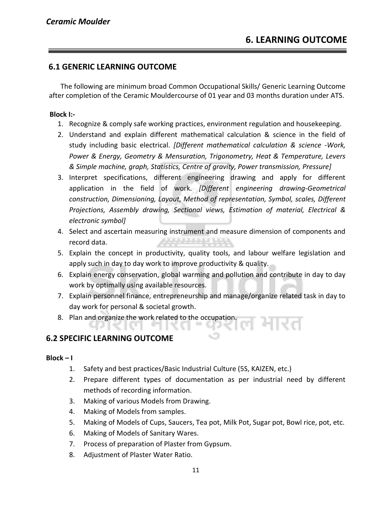### **6.1 GENERIC LEARNING OUTCOME**

The following are minimum broad Common Occupational Skills/ Generic Learning Outcome after completion of the Ceramic Mouldercourse of 01 year and 03 months duration under ATS.

### **Block I:-**

- 1. Recognize & comply safe working practices, environment regulation and housekeeping.
- 2. Understand and explain different mathematical calculation & science in the field of study including basic electrical. *[Different mathematical calculation & science -Work, Power & Energy, Geometry & Mensuration, Trigonometry, Heat & Temperature, Levers & Simple machine, graph, Statistics, Centre of gravity, Power transmission, Pressure]*
- 3. Interpret specifications, different engineering drawing and apply for different application in the field of work. *[Different engineering drawing-Geometrical construction, Dimensioning, Layout, Method of representation, Symbol, scales, Different Projections, Assembly drawing, Sectional views, Estimation of material, Electrical & electronic symbol]*
- 4. Select and ascertain measuring instrument and measure dimension of components and A6664444444 record data.
- 5. Explain the concept in productivity, quality tools, and labour welfare legislation and apply such in day to day work to improve productivity & quality.
- 6. Explain energy conservation, global warming and pollution and contribute in day to day work by optimally using available resources.
- 7. Explain personnel finance, entrepreneurship and manage/organize related task in day to day work for personal & societal growth.
- 8. Plan and organize the work related to the occupation.

### **6.2 SPECIFIC LEARNING OUTCOME**

### $Block - I$

- 1. Safety and best practices/Basic Industrial Culture (5S, KAIZEN, etc.)
- 2. Prepare different types of documentation as per industrial need by different methods of recording information.
- 3. Making of various Models from Drawing.
- 4. Making of Models from samples.
- 5. Making of Models of Cups, Saucers, Tea pot, Milk Pot, Sugar pot, Bowl rice, pot, etc.
- 6. Making of Models of Sanitary Wares.
- 7. Process of preparation of Plaster from Gypsum.
- 8. Adjustment of Plaster Water Ratio.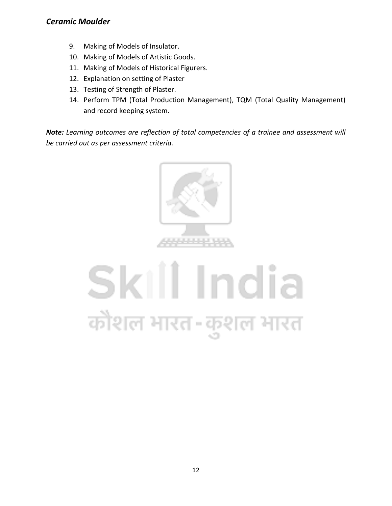- 9. Making of Models of Insulator.
- 10. Making of Models of Artistic Goods.
- 11. Making of Models of Historical Figurers.
- 12. Explanation on setting of Plaster
- 13. Testing of Strength of Plaster.
- 14. Perform TPM (Total Production Management), TQM (Total Quality Management) and record keeping system.

*Note: Learning outcomes are reflection of total competencies of a trainee and assessment will be carried out as per assessment criteria.*



## Skill India कौशल भारत-कुशल भारत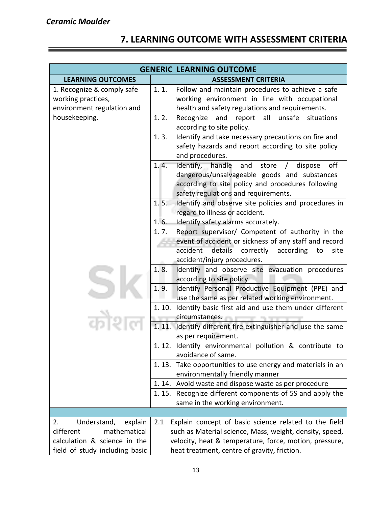### **7. LEARNING OUTCOME WITH ASSESSMENT CRITERIA**

| <b>GENERIC LEARNING OUTCOME</b>                                                |                                                                                                                                                                                                          |  |
|--------------------------------------------------------------------------------|----------------------------------------------------------------------------------------------------------------------------------------------------------------------------------------------------------|--|
| <b>LEARNING OUTCOMES</b>                                                       | <b>ASSESSMENT CRITERIA</b>                                                                                                                                                                               |  |
| 1. Recognize & comply safe<br>working practices,<br>environment regulation and | 1.1.<br>Follow and maintain procedures to achieve a safe<br>working environment in line with occupational<br>health and safety regulations and requirements.                                             |  |
| housekeeping.                                                                  | 1.2.<br>Recognize<br>and<br>all<br>unsafe<br>report<br>situations<br>according to site policy.                                                                                                           |  |
|                                                                                | Identify and take necessary precautions on fire and<br>1.3.<br>safety hazards and report according to site policy<br>and procedures.                                                                     |  |
|                                                                                | Identify, handle<br>1.4.<br>and store $/$<br>off<br>dispose<br>dangerous/unsalvageable goods and substances<br>according to site policy and procedures following<br>safety regulations and requirements. |  |
|                                                                                | 1.5.<br>Identify and observe site policies and procedures in<br>regard to illness or accident.                                                                                                           |  |
|                                                                                | 1.6.<br>Identify safety alarms accurately.                                                                                                                                                               |  |
|                                                                                | Report supervisor/ Competent of authority in the<br>1.7.                                                                                                                                                 |  |
|                                                                                | event of accident or sickness of any staff and record<br>details correctly<br>accident<br>according<br>site<br>to<br>accident/injury procedures.                                                         |  |
|                                                                                | Identify and observe site evacuation procedures<br>1.8.<br>according to site policy.                                                                                                                     |  |
|                                                                                | 1.9.<br>Identify Personal Productive Equipment (PPE) and<br>use the same as per related working environment.                                                                                             |  |
|                                                                                | Identify basic first aid and use them under different<br>1.10.<br>circumstances.                                                                                                                         |  |
|                                                                                | 1.11.<br>Identify different fire extinguisher and use the same<br>as per requirement.                                                                                                                    |  |
|                                                                                | 1.12. Identify environmental pollution & contribute to<br>avoidance of same.                                                                                                                             |  |
|                                                                                | 1.13. Take opportunities to use energy and materials in an<br>environmentally friendly manner                                                                                                            |  |
|                                                                                | 1.14. Avoid waste and dispose waste as per procedure                                                                                                                                                     |  |
|                                                                                | Recognize different components of 5S and apply the<br>1. 15.<br>same in the working environment.                                                                                                         |  |
|                                                                                |                                                                                                                                                                                                          |  |
| Understand,<br>2.<br>explain                                                   | Explain concept of basic science related to the field<br>2.1                                                                                                                                             |  |
| different<br>mathematical                                                      | such as Material science, Mass, weight, density, speed,                                                                                                                                                  |  |
| calculation & science in the                                                   | velocity, heat & temperature, force, motion, pressure,                                                                                                                                                   |  |
| field of study including basic                                                 | heat treatment, centre of gravity, friction.                                                                                                                                                             |  |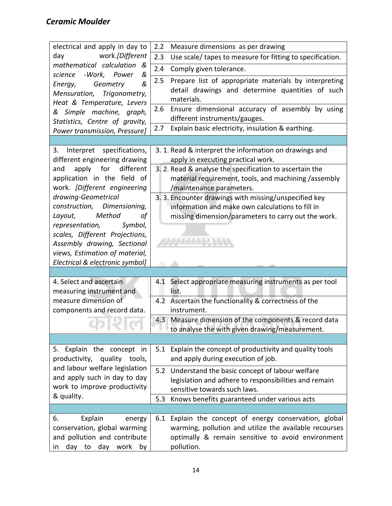| electrical and apply in day to                                                                                                                                                                                      | Measure dimensions as per drawing<br>2.2                                                                                                                                                                                                                                               |
|---------------------------------------------------------------------------------------------------------------------------------------------------------------------------------------------------------------------|----------------------------------------------------------------------------------------------------------------------------------------------------------------------------------------------------------------------------------------------------------------------------------------|
| work.[Different<br>day                                                                                                                                                                                              | 2.3<br>Use scale/ tapes to measure for fitting to specification.                                                                                                                                                                                                                       |
| mathematical calculation<br>&                                                                                                                                                                                       | 2.4<br>Comply given tolerance.                                                                                                                                                                                                                                                         |
| &<br>-Work, Power<br>science<br>Geometry<br>&<br>Energy,<br>Mensuration, Trigonometry,<br>Heat & Temperature, Levers<br>& Simple machine, graph,<br>Statistics, Centre of gravity,<br>Power transmission, Pressure] | Prepare list of appropriate materials by interpreting<br>2.5<br>detail drawings and determine quantities of such<br>materials.<br>Ensure dimensional accuracy of assembly by using<br>2.6<br>different instruments/gauges.<br>Explain basic electricity, insulation & earthing.<br>2.7 |
|                                                                                                                                                                                                                     |                                                                                                                                                                                                                                                                                        |
| Interpret specifications,<br>3.<br>different engineering drawing                                                                                                                                                    | 3. 1. Read & interpret the information on drawings and<br>apply in executing practical work.                                                                                                                                                                                           |
| for<br>different<br>apply<br>and<br>application in the field of<br>work. [Different engineering                                                                                                                     | 3. 2. Read & analyse the specification to ascertain the<br>material requirement, tools, and machining /assembly<br>/maintenance parameters.                                                                                                                                            |
| drawing-Geometrical<br>construction, Dimensioning,<br>Layout, Method<br>οf<br>representation,<br>Symbol,<br>scales, Different Projections,<br>Assembly drawing, Sectional<br>views, Estimation of material,         | 3. 3. Encounter drawings with missing/unspecified key<br>information and make own calculations to fill in<br>missing dimension/parameters to carry out the work.                                                                                                                       |
| Electrical & electronic symbol]                                                                                                                                                                                     |                                                                                                                                                                                                                                                                                        |
| 4. Select and ascertain<br>measuring instrument and                                                                                                                                                                 | 4.1 Select appropriate measuring instruments as per tool<br>list.                                                                                                                                                                                                                      |
| measure dimension of<br>components and record data.                                                                                                                                                                 | 4.2 Ascertain the functionality & correctness of the<br>instrument.                                                                                                                                                                                                                    |
|                                                                                                                                                                                                                     | 4.3 Measure dimension of the components & record data<br>to analyse the with given drawing/measurement.                                                                                                                                                                                |
|                                                                                                                                                                                                                     |                                                                                                                                                                                                                                                                                        |
| 5. Explain the concept in<br>productivity,<br>quality tools,                                                                                                                                                        | Explain the concept of productivity and quality tools<br>5.1<br>and apply during execution of job.                                                                                                                                                                                     |
| and labour welfare legislation<br>and apply such in day to day<br>work to improve productivity                                                                                                                      | 5.2<br>Understand the basic concept of labour welfare<br>legislation and adhere to responsibilities and remain<br>sensitive towards such laws.                                                                                                                                         |
| & quality.                                                                                                                                                                                                          | Knows benefits guaranteed under various acts<br>5.3                                                                                                                                                                                                                                    |
|                                                                                                                                                                                                                     |                                                                                                                                                                                                                                                                                        |
| Explain<br>6.<br>energy<br>conservation, global warming<br>and pollution and contribute<br>day<br>day<br>work<br>to<br>by<br>in                                                                                     | Explain the concept of energy conservation, global<br>6.1<br>warming, pollution and utilize the available recourses<br>optimally & remain sensitive to avoid environment<br>pollution.                                                                                                 |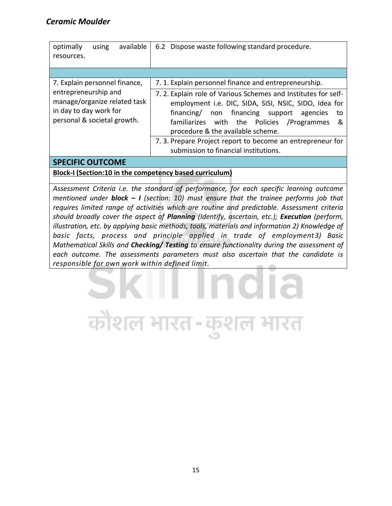| available<br>optimally<br>using                                                                               | 6.2 Dispose waste following standard procedure.                                                                                                                                                                                                                                                                                                                                |
|---------------------------------------------------------------------------------------------------------------|--------------------------------------------------------------------------------------------------------------------------------------------------------------------------------------------------------------------------------------------------------------------------------------------------------------------------------------------------------------------------------|
| resources.                                                                                                    |                                                                                                                                                                                                                                                                                                                                                                                |
|                                                                                                               |                                                                                                                                                                                                                                                                                                                                                                                |
|                                                                                                               |                                                                                                                                                                                                                                                                                                                                                                                |
| 7. Explain personnel finance,                                                                                 | 7. 1. Explain personnel finance and entrepreneurship.                                                                                                                                                                                                                                                                                                                          |
| entrepreneurship and<br>manage/organize related task<br>in day to day work for<br>personal & societal growth. | 7.2. Explain role of Various Schemes and Institutes for self-<br>employment i.e. DIC, SIDA, SISI, NSIC, SIDO, Idea for<br>non financing support<br>financing/<br>agencies<br>to<br>familiarizes with the Policies /Programmes<br>&<br>procedure & the available scheme.<br>7. 3. Prepare Project report to become an entrepreneur for<br>submission to financial institutions. |
|                                                                                                               |                                                                                                                                                                                                                                                                                                                                                                                |

### **SPECIFIC OUTCOME**

**Block-I (Section:10 in the competency based curriculum)**

कोशल भारत-कुश

*Assessment Criteria i.e. the standard of performance, for each specific learning outcome mentioned under block – I (section: 10) must ensure that the trainee performs job that requires limited range of activities which are routine and predictable. Assessment criteria should broadly cover the aspect of Planning (Identify, ascertain, etc.); Execution (perform, illustration, etc. by applying basic methods, tools, materials and information 2) Knowledge of basic facts, process and principle applied in trade of employment3) Basic Mathematical Skills and Checking/ Testing to ensure functionality during the assessment of each outcome. The assessments parameters must also ascertain that the candidate is responsible for own work within defined limit.*

ल भारत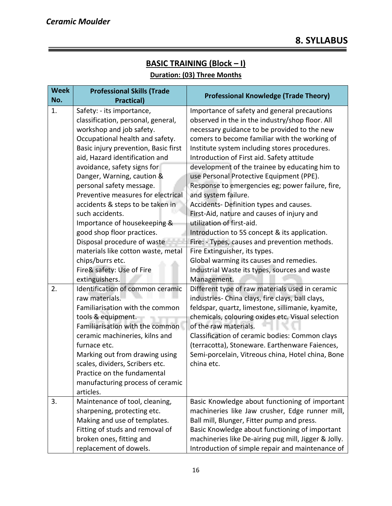### **BASIC TRAINING (Block – I) Duration: (03) Three Months**

| <b>Week</b><br>No. | <b>Professional Skills (Trade</b><br><b>Practical)</b>                                                                                                                                                                                                                                                                                                                                                                                                                                                                                                                             | <b>Professional Knowledge (Trade Theory)</b>                                                                                                                                                                                                                                                                                                                                                                                                                                                                                                                                                                                                                                                                                                                                                                                  |
|--------------------|------------------------------------------------------------------------------------------------------------------------------------------------------------------------------------------------------------------------------------------------------------------------------------------------------------------------------------------------------------------------------------------------------------------------------------------------------------------------------------------------------------------------------------------------------------------------------------|-------------------------------------------------------------------------------------------------------------------------------------------------------------------------------------------------------------------------------------------------------------------------------------------------------------------------------------------------------------------------------------------------------------------------------------------------------------------------------------------------------------------------------------------------------------------------------------------------------------------------------------------------------------------------------------------------------------------------------------------------------------------------------------------------------------------------------|
| 1.                 | Safety: - its importance,<br>classification, personal, general,<br>workshop and job safety.<br>Occupational health and safety.<br>Basic injury prevention, Basic first<br>aid, Hazard identification and<br>avoidance, safety signs for<br>Danger, Warning, caution &<br>personal safety message.<br>Preventive measures for electrical<br>accidents & steps to be taken in<br>such accidents.<br>Importance of housekeeping &<br>good shop floor practices.<br>Disposal procedure of waste<br>materials like cotton waste, metal<br>chips/burrs etc.<br>Fire& safety: Use of Fire | Importance of safety and general precautions<br>observed in the in the industry/shop floor. All<br>necessary guidance to be provided to the new<br>comers to become familiar with the working of<br>Institute system including stores procedures.<br>Introduction of First aid. Safety attitude<br>development of the trainee by educating him to<br>use Personal Protective Equipment (PPE).<br>Response to emergencies eg; power failure, fire,<br>and system failure.<br>Accidents- Definition types and causes.<br>First-Aid, nature and causes of injury and<br>utilization of first-aid.<br>Introduction to 5S concept & its application.<br>Fire: - Types, causes and prevention methods.<br>Fire Extinguisher, its types.<br>Global warming its causes and remedies.<br>Industrial Waste its types, sources and waste |
| 2.                 | extinguishers.<br>Identification of common ceramic<br>raw materials.<br>Familiarisation with the common<br>tools & equipment<br>Familiarisation with the common<br>ceramic machineries, kilns and<br>furnace etc.<br>Marking out from drawing using<br>scales, dividers, Scribers etc.<br>Practice on the fundamental<br>manufacturing process of ceramic<br>articles.                                                                                                                                                                                                             | Management.<br>Different type of raw materials used in ceramic<br>industries- China clays, fire clays, ball clays,<br>feldspar, quartz, limestone, sillimanie, kyamite,<br>chemicals, colouring oxides etc. Visual selection<br>of the raw materials.<br>Classification of ceramic bodies: Common clays<br>(terracotta), Stoneware. Earthenware Faiences,<br>Semi-porcelain, Vitreous china, Hotel china, Bone<br>china etc.                                                                                                                                                                                                                                                                                                                                                                                                  |
| 3.                 | Maintenance of tool, cleaning,<br>sharpening, protecting etc.<br>Making and use of templates.<br>Fitting of studs and removal of<br>broken ones, fitting and<br>replacement of dowels.                                                                                                                                                                                                                                                                                                                                                                                             | Basic Knowledge about functioning of important<br>machineries like Jaw crusher, Edge runner mill,<br>Ball mill, Blunger, Fitter pump and press.<br>Basic Knowledge about functioning of important<br>machineries like De-airing pug mill, Jigger & Jolly.<br>Introduction of simple repair and maintenance of                                                                                                                                                                                                                                                                                                                                                                                                                                                                                                                 |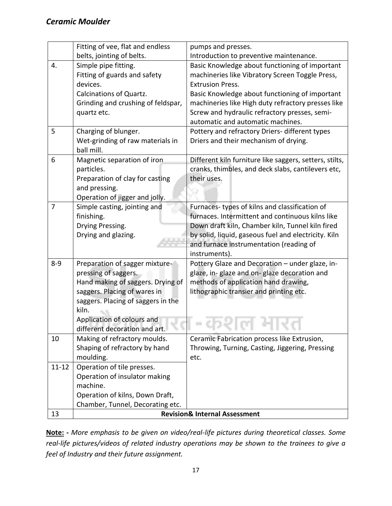|                | Fitting of vee, flat and endless                            | pumps and presses.                                                                             |
|----------------|-------------------------------------------------------------|------------------------------------------------------------------------------------------------|
|                | belts, jointing of belts.                                   | Introduction to preventive maintenance.                                                        |
| 4.             | Simple pipe fitting.                                        | Basic Knowledge about functioning of important                                                 |
|                | Fitting of guards and safety                                | machineries like Vibratory Screen Toggle Press,                                                |
|                | devices.                                                    | <b>Extrusion Press.</b>                                                                        |
|                | <b>Calcinations of Quartz.</b>                              | Basic Knowledge about functioning of important                                                 |
|                | Grinding and crushing of feldspar,                          | machineries like High duty refractory presses like                                             |
|                | quartz etc.                                                 | Screw and hydraulic refractory presses, semi-                                                  |
|                |                                                             | automatic and automatic machines.                                                              |
| 5              | Charging of blunger.                                        | Pottery and refractory Driers- different types                                                 |
|                | Wet-grinding of raw materials in                            | Driers and their mechanism of drying.                                                          |
|                | ball mill.                                                  |                                                                                                |
| 6              | Magnetic separation of iron                                 | Different kiln furniture like saggers, setters, stilts,                                        |
|                | particles.                                                  | cranks, thimbles, and deck slabs, cantilevers etc,                                             |
|                | Preparation of clay for casting                             | their uses.                                                                                    |
|                | and pressing.                                               |                                                                                                |
|                | Operation of jigger and jolly.                              |                                                                                                |
| $\overline{7}$ | Simple casting, jointing and                                | Furnaces-types of kilns and classification of                                                  |
|                | finishing.                                                  | furnaces. Intermittent and continuous kilns like                                               |
|                | Drying Pressing.                                            | Down draft kiln, Chamber kiln, Tunnel kiln fired                                               |
|                | Drying and glazing.                                         | by solid, liquid, gaseous fuel and electricity. Kiln                                           |
|                |                                                             | and furnace instrumentation (reading of                                                        |
|                |                                                             | instruments).                                                                                  |
| $8 - 9$        | Preparation of sagger mixture-                              | Pottery Glaze and Decoration - under glaze, in-                                                |
|                | pressing of saggers.                                        | glaze, in-glaze and on-glaze decoration and                                                    |
|                | Hand making of saggers. Drying of                           | methods of application hand drawing,                                                           |
|                | saggers. Placing of wares in                                | lithographic transier and printing etc.                                                        |
|                | saggers. Placing of saggers in the                          |                                                                                                |
|                | kiln.                                                       |                                                                                                |
|                | Application of colours and<br>different decoration and art. |                                                                                                |
| 10             | Making of refractory moulds.                                |                                                                                                |
|                | Shaping of refractory by hand                               | Ceramic Fabrication process like Extrusion,<br>Throwing, Turning, Casting, Jiggering, Pressing |
|                | moulding.                                                   | etc.                                                                                           |
| $11 - 12$      | Operation of tile presses.                                  |                                                                                                |
|                | Operation of insulator making                               |                                                                                                |
|                | machine.                                                    |                                                                                                |
|                | Operation of kilns, Down Draft,                             |                                                                                                |
|                | Chamber, Tunnel, Decorating etc.                            |                                                                                                |
| 13             |                                                             | <b>Revision&amp; Internal Assessment</b>                                                       |

**Note: -** *More emphasis to be given on video/real-life pictures during theoretical classes. Some real-life pictures/videos of related industry operations may be shown to the trainees to give a feel of Industry and their future assignment.*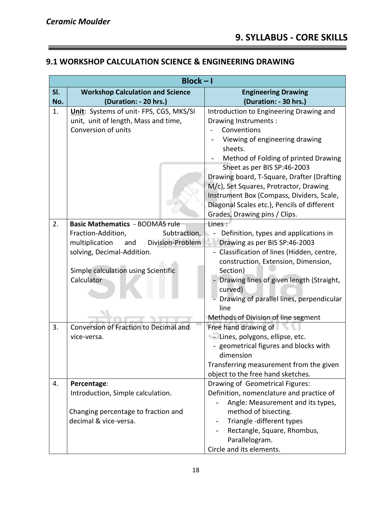<u> Termin a shekara ta 1989 a Tanzania a T</u>

### **9.1 WORKSHOP CALCULATION SCIENCE & ENGINEERING DRAWING**

|     | $Block - I$                                                                                                                                                                                                                |                                                                                                                                                                                                                                                                                                                                                                                                                         |  |  |
|-----|----------------------------------------------------------------------------------------------------------------------------------------------------------------------------------------------------------------------------|-------------------------------------------------------------------------------------------------------------------------------------------------------------------------------------------------------------------------------------------------------------------------------------------------------------------------------------------------------------------------------------------------------------------------|--|--|
| SI. | <b>Workshop Calculation and Science</b>                                                                                                                                                                                    | <b>Engineering Drawing</b>                                                                                                                                                                                                                                                                                                                                                                                              |  |  |
| No. | (Duration: - 20 hrs.)                                                                                                                                                                                                      | (Duration: - 30 hrs.)                                                                                                                                                                                                                                                                                                                                                                                                   |  |  |
| 1.  | Unit: Systems of unit- FPS, CGS, MKS/SI<br>unit, unit of length, Mass and time,<br>Conversion of units                                                                                                                     | Introduction to Engineering Drawing and<br>Drawing Instruments:<br>Conventions<br>Viewing of engineering drawing<br>sheets.<br>Method of Folding of printed Drawing<br>Sheet as per BIS SP:46-2003<br>Drawing board, T-Square, Drafter (Drafting<br>M/c), Set Squares, Protractor, Drawing<br>Instrument Box (Compass, Dividers, Scale,<br>Diagonal Scales etc.), Pencils of different<br>Grades, Drawing pins / Clips. |  |  |
| 2.  | <b>Basic Mathematics - BODMAS rule</b>                                                                                                                                                                                     | Lines:                                                                                                                                                                                                                                                                                                                                                                                                                  |  |  |
| 3.  | Fraction-Addition,<br>Subtraction,<br>multiplication<br>Division-Problem<br>and<br>solving, Decimal-Addition.<br>Simple calculation using Scientific<br>Calculator<br>Conversion of Fraction to Decimal and<br>vice-versa. | Definition, types and applications in<br>Drawing as per BIS SP:46-2003<br>Classification of lines (Hidden, centre,<br>construction, Extension, Dimension,<br>Section)<br>Drawing lines of given length (Straight,<br>curved)<br>Drawing of parallel lines, perpendicular<br>line<br>Methods of Division of line segment<br>Free hand drawing of<br>- Lines, polygons, ellipse, etc.                                     |  |  |
|     |                                                                                                                                                                                                                            | - geometrical figures and blocks with<br>dimension<br>Transferring measurement from the given<br>object to the free hand sketches.                                                                                                                                                                                                                                                                                      |  |  |
| 4.  | Percentage:                                                                                                                                                                                                                | Drawing of Geometrical Figures:                                                                                                                                                                                                                                                                                                                                                                                         |  |  |
|     | Introduction, Simple calculation.<br>Changing percentage to fraction and<br>decimal & vice-versa.                                                                                                                          | Definition, nomenclature and practice of<br>Angle: Measurement and its types,<br>method of bisecting.<br>Triangle -different types<br>Rectangle, Square, Rhombus,<br>Parallelogram.<br>Circle and its elements.                                                                                                                                                                                                         |  |  |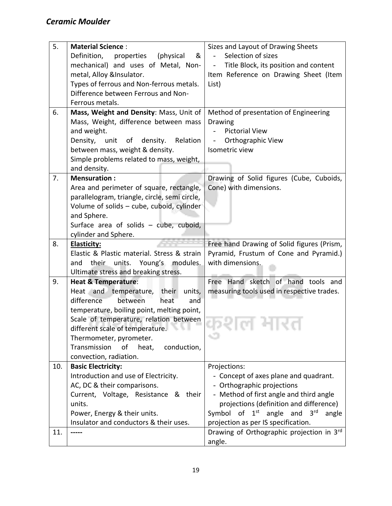| 5.  | <b>Material Science:</b>                      | Sizes and Layout of Drawing Sheets                       |
|-----|-----------------------------------------------|----------------------------------------------------------|
|     | &<br>Definition,<br>properties<br>(physical)  | Selection of sizes<br>$\blacksquare$                     |
|     | mechanical) and uses of Metal, Non-           | Title Block, its position and content<br>$\Box$          |
|     | metal, Alloy &Insulator.                      | Item Reference on Drawing Sheet (Item                    |
|     | Types of ferrous and Non-ferrous metals.      | List)                                                    |
|     | Difference between Ferrous and Non-           |                                                          |
|     | Ferrous metals.                               |                                                          |
| 6.  | Mass, Weight and Density: Mass, Unit of       | Method of presentation of Engineering                    |
|     | Mass, Weight, difference between mass         | <b>Drawing</b>                                           |
|     | and weight.                                   | <b>Pictorial View</b><br>$\sim$                          |
|     | Density,<br>density.<br>Relation<br>unit of   | Orthographic View<br>$\overline{\phantom{a}}$            |
|     | between mass, weight & density.               | Isometric view                                           |
|     | Simple problems related to mass, weight,      |                                                          |
|     | and density.                                  |                                                          |
| 7.  | <b>Mensuration:</b>                           | Drawing of Solid figures (Cube, Cuboids,                 |
|     | Area and perimeter of square, rectangle,      | Cone) with dimensions.                                   |
|     | parallelogram, triangle, circle, semi circle, |                                                          |
|     | Volume of solids - cube, cuboid, cylinder     |                                                          |
|     | and Sphere.                                   |                                                          |
|     | Surface area of solids - cube, cuboid,        |                                                          |
|     | cylinder and Sphere.                          |                                                          |
| 8.  | <b>Elasticity:</b>                            | Free hand Drawing of Solid figures (Prism,               |
|     | Elastic & Plastic material. Stress & strain   | Pyramid, Frustum of Cone and Pyramid.)                   |
|     | their<br>units.<br>Young's modules.<br>and    | with dimensions.                                         |
|     | Ultimate stress and breaking stress.          |                                                          |
| 9.  | <b>Heat &amp; Temperature:</b>                | Free Hand sketch of hand tools and                       |
|     | Heat and temperature, their<br>units,         | measuring tools used in respective trades.               |
|     | difference<br>between<br>heat<br>and          |                                                          |
|     | temperature, boiling point, melting point,    |                                                          |
|     | Scale of temperature, relation between        |                                                          |
|     | different scale of temperature.               | 76 L<br>N.H                                              |
|     | Thermometer, pyrometer.                       |                                                          |
|     | Transmission<br>heat,<br>of<br>conduction,    |                                                          |
|     | convection, radiation.                        |                                                          |
| 10. | <b>Basic Electricity:</b>                     | Projections:                                             |
|     | Introduction and use of Electricity.          | - Concept of axes plane and quadrant.                    |
|     | AC, DC & their comparisons.                   | - Orthographic projections                               |
|     | Current, Voltage, Resistance & their          | - Method of first angle and third angle                  |
|     | units.                                        | projections (definition and difference)                  |
|     | Power, Energy & their units.                  | Symbol of<br>$1st$ angle and<br>3 <sup>rd</sup><br>angle |
|     | Insulator and conductors & their uses.        | projection as per IS specification.                      |
| 11. |                                               | Drawing of Orthographic projection in 3rd                |
|     |                                               | angle.                                                   |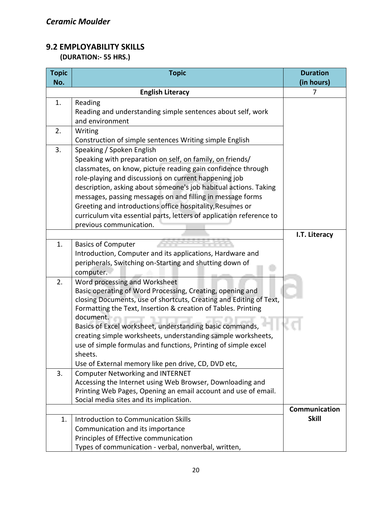### **9.2 EMPLOYABILITY SKILLS**

 **(DURATION:- 55 HRS.)**

| <b>Topic</b> | <b>Topic</b>                                                         | <b>Duration</b>               |
|--------------|----------------------------------------------------------------------|-------------------------------|
| No.          |                                                                      | (in hours)                    |
|              | <b>English Literacy</b>                                              | 7                             |
| 1.           | Reading                                                              |                               |
|              | Reading and understanding simple sentences about self, work          |                               |
|              | and environment                                                      |                               |
| 2.           | Writing                                                              |                               |
|              | Construction of simple sentences Writing simple English              |                               |
| 3.           | Speaking / Spoken English                                            |                               |
|              | Speaking with preparation on self, on family, on friends/            |                               |
|              | classmates, on know, picture reading gain confidence through         |                               |
|              | role-playing and discussions on current happening job                |                               |
|              | description, asking about someone's job habitual actions. Taking     |                               |
|              | messages, passing messages on and filling in message forms           |                               |
|              | Greeting and introductions office hospitality, Resumes or            |                               |
|              | curriculum vita essential parts, letters of application reference to |                               |
|              | previous communication.                                              |                               |
|              |                                                                      | I.T. Literacy                 |
| 1.           | <b>Basics of Computer</b>                                            |                               |
|              | Introduction, Computer and its applications, Hardware and            |                               |
|              | peripherals, Switching on-Starting and shutting down of              |                               |
|              | computer.                                                            |                               |
| 2.           | Word processing and Worksheet                                        |                               |
|              | Basic operating of Word Processing, Creating, opening and            |                               |
|              | closing Documents, use of shortcuts, Creating and Editing of Text,   |                               |
|              | Formatting the Text, Insertion & creation of Tables. Printing        |                               |
|              | document.                                                            |                               |
|              | Basics of Excel worksheet, understanding basic commands,             |                               |
|              | creating simple worksheets, understanding sample worksheets,         |                               |
|              | use of simple formulas and functions, Printing of simple excel       |                               |
|              | sheets.                                                              |                               |
|              | Use of External memory like pen drive, CD, DVD etc,                  |                               |
| 3.           | <b>Computer Networking and INTERNET</b>                              |                               |
|              | Accessing the Internet using Web Browser, Downloading and            |                               |
|              | Printing Web Pages, Opening an email account and use of email.       |                               |
|              | Social media sites and its implication.                              |                               |
|              |                                                                      | Communication<br><b>Skill</b> |
| 1.           | Introduction to Communication Skills                                 |                               |
|              | Communication and its importance                                     |                               |
|              | Principles of Effective communication                                |                               |
|              | Types of communication - verbal, nonverbal, written,                 |                               |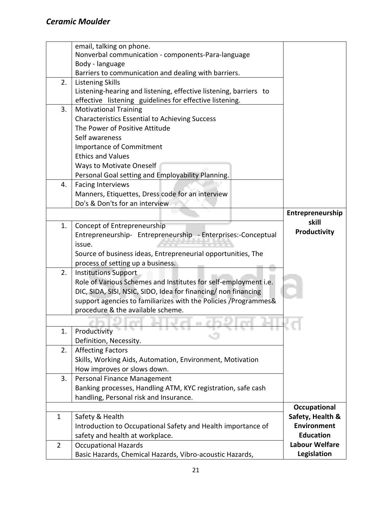| Nonverbal communication - components-Para-language<br>Body - language<br>Barriers to communication and dealing with barriers.<br>2.<br><b>Listening Skills</b><br>Listening-hearing and listening, effective listening, barriers to<br>effective listening guidelines for effective listening.<br>3.<br><b>Motivational Training</b><br><b>Characteristics Essential to Achieving Success</b><br>The Power of Positive Attitude<br>Self awareness<br>Importance of Commitment<br><b>Ethics and Values</b><br><b>Ways to Motivate Oneself</b><br>Personal Goal setting and Employability Planning.<br>4.<br><b>Facing Interviews</b><br>Manners, Etiquettes, Dress code for an interview<br>Do's & Don'ts for an interview<br>Entrepreneurship<br>skill<br>1.<br>Concept of Entrepreneurship<br>Productivity<br>Entrepreneurship- Entrepreneurship - Enterprises:-Conceptual<br>issue.<br>Source of business ideas, Entrepreneurial opportunities, The<br>process of setting up a business.<br>2.<br><b>Institutions Support</b><br>Role of Various Schemes and Institutes for self-employment i.e.<br>DIC, SIDA, SISI, NSIC, SIDO, Idea for financing/ non financing<br>support agencies to familiarizes with the Policies / Programmes&<br>procedure & the available scheme.<br>Productivity<br>1.<br>Definition, Necessity.<br><b>Affecting Factors</b><br>2.<br>Skills, Working Aids, Automation, Environment, Motivation<br>How improves or slows down.<br>3.<br>Personal Finance Management<br>Banking processes, Handling ATM, KYC registration, safe cash<br>handling, Personal risk and Insurance.<br>Occupational<br>Safety, Health &<br>Safety & Health<br>$\mathbf 1$<br><b>Environment</b><br>Introduction to Occupational Safety and Health importance of<br><b>Education</b><br>safety and health at workplace.<br><b>Labour Welfare</b><br>$\overline{2}$<br><b>Occupational Hazards</b> |                                                          |             |
|---------------------------------------------------------------------------------------------------------------------------------------------------------------------------------------------------------------------------------------------------------------------------------------------------------------------------------------------------------------------------------------------------------------------------------------------------------------------------------------------------------------------------------------------------------------------------------------------------------------------------------------------------------------------------------------------------------------------------------------------------------------------------------------------------------------------------------------------------------------------------------------------------------------------------------------------------------------------------------------------------------------------------------------------------------------------------------------------------------------------------------------------------------------------------------------------------------------------------------------------------------------------------------------------------------------------------------------------------------------------------------------------------------------------------------------------------------------------------------------------------------------------------------------------------------------------------------------------------------------------------------------------------------------------------------------------------------------------------------------------------------------------------------------------------------------------------------------------------------------------------------------------------------|----------------------------------------------------------|-------------|
|                                                                                                                                                                                                                                                                                                                                                                                                                                                                                                                                                                                                                                                                                                                                                                                                                                                                                                                                                                                                                                                                                                                                                                                                                                                                                                                                                                                                                                                                                                                                                                                                                                                                                                                                                                                                                                                                                                         | email, talking on phone.                                 |             |
|                                                                                                                                                                                                                                                                                                                                                                                                                                                                                                                                                                                                                                                                                                                                                                                                                                                                                                                                                                                                                                                                                                                                                                                                                                                                                                                                                                                                                                                                                                                                                                                                                                                                                                                                                                                                                                                                                                         |                                                          |             |
|                                                                                                                                                                                                                                                                                                                                                                                                                                                                                                                                                                                                                                                                                                                                                                                                                                                                                                                                                                                                                                                                                                                                                                                                                                                                                                                                                                                                                                                                                                                                                                                                                                                                                                                                                                                                                                                                                                         |                                                          |             |
|                                                                                                                                                                                                                                                                                                                                                                                                                                                                                                                                                                                                                                                                                                                                                                                                                                                                                                                                                                                                                                                                                                                                                                                                                                                                                                                                                                                                                                                                                                                                                                                                                                                                                                                                                                                                                                                                                                         |                                                          |             |
|                                                                                                                                                                                                                                                                                                                                                                                                                                                                                                                                                                                                                                                                                                                                                                                                                                                                                                                                                                                                                                                                                                                                                                                                                                                                                                                                                                                                                                                                                                                                                                                                                                                                                                                                                                                                                                                                                                         |                                                          |             |
|                                                                                                                                                                                                                                                                                                                                                                                                                                                                                                                                                                                                                                                                                                                                                                                                                                                                                                                                                                                                                                                                                                                                                                                                                                                                                                                                                                                                                                                                                                                                                                                                                                                                                                                                                                                                                                                                                                         |                                                          |             |
|                                                                                                                                                                                                                                                                                                                                                                                                                                                                                                                                                                                                                                                                                                                                                                                                                                                                                                                                                                                                                                                                                                                                                                                                                                                                                                                                                                                                                                                                                                                                                                                                                                                                                                                                                                                                                                                                                                         |                                                          |             |
|                                                                                                                                                                                                                                                                                                                                                                                                                                                                                                                                                                                                                                                                                                                                                                                                                                                                                                                                                                                                                                                                                                                                                                                                                                                                                                                                                                                                                                                                                                                                                                                                                                                                                                                                                                                                                                                                                                         |                                                          |             |
|                                                                                                                                                                                                                                                                                                                                                                                                                                                                                                                                                                                                                                                                                                                                                                                                                                                                                                                                                                                                                                                                                                                                                                                                                                                                                                                                                                                                                                                                                                                                                                                                                                                                                                                                                                                                                                                                                                         |                                                          |             |
|                                                                                                                                                                                                                                                                                                                                                                                                                                                                                                                                                                                                                                                                                                                                                                                                                                                                                                                                                                                                                                                                                                                                                                                                                                                                                                                                                                                                                                                                                                                                                                                                                                                                                                                                                                                                                                                                                                         |                                                          |             |
|                                                                                                                                                                                                                                                                                                                                                                                                                                                                                                                                                                                                                                                                                                                                                                                                                                                                                                                                                                                                                                                                                                                                                                                                                                                                                                                                                                                                                                                                                                                                                                                                                                                                                                                                                                                                                                                                                                         |                                                          |             |
|                                                                                                                                                                                                                                                                                                                                                                                                                                                                                                                                                                                                                                                                                                                                                                                                                                                                                                                                                                                                                                                                                                                                                                                                                                                                                                                                                                                                                                                                                                                                                                                                                                                                                                                                                                                                                                                                                                         |                                                          |             |
|                                                                                                                                                                                                                                                                                                                                                                                                                                                                                                                                                                                                                                                                                                                                                                                                                                                                                                                                                                                                                                                                                                                                                                                                                                                                                                                                                                                                                                                                                                                                                                                                                                                                                                                                                                                                                                                                                                         |                                                          |             |
|                                                                                                                                                                                                                                                                                                                                                                                                                                                                                                                                                                                                                                                                                                                                                                                                                                                                                                                                                                                                                                                                                                                                                                                                                                                                                                                                                                                                                                                                                                                                                                                                                                                                                                                                                                                                                                                                                                         |                                                          |             |
|                                                                                                                                                                                                                                                                                                                                                                                                                                                                                                                                                                                                                                                                                                                                                                                                                                                                                                                                                                                                                                                                                                                                                                                                                                                                                                                                                                                                                                                                                                                                                                                                                                                                                                                                                                                                                                                                                                         |                                                          |             |
|                                                                                                                                                                                                                                                                                                                                                                                                                                                                                                                                                                                                                                                                                                                                                                                                                                                                                                                                                                                                                                                                                                                                                                                                                                                                                                                                                                                                                                                                                                                                                                                                                                                                                                                                                                                                                                                                                                         |                                                          |             |
|                                                                                                                                                                                                                                                                                                                                                                                                                                                                                                                                                                                                                                                                                                                                                                                                                                                                                                                                                                                                                                                                                                                                                                                                                                                                                                                                                                                                                                                                                                                                                                                                                                                                                                                                                                                                                                                                                                         |                                                          |             |
|                                                                                                                                                                                                                                                                                                                                                                                                                                                                                                                                                                                                                                                                                                                                                                                                                                                                                                                                                                                                                                                                                                                                                                                                                                                                                                                                                                                                                                                                                                                                                                                                                                                                                                                                                                                                                                                                                                         |                                                          |             |
|                                                                                                                                                                                                                                                                                                                                                                                                                                                                                                                                                                                                                                                                                                                                                                                                                                                                                                                                                                                                                                                                                                                                                                                                                                                                                                                                                                                                                                                                                                                                                                                                                                                                                                                                                                                                                                                                                                         |                                                          |             |
|                                                                                                                                                                                                                                                                                                                                                                                                                                                                                                                                                                                                                                                                                                                                                                                                                                                                                                                                                                                                                                                                                                                                                                                                                                                                                                                                                                                                                                                                                                                                                                                                                                                                                                                                                                                                                                                                                                         |                                                          |             |
|                                                                                                                                                                                                                                                                                                                                                                                                                                                                                                                                                                                                                                                                                                                                                                                                                                                                                                                                                                                                                                                                                                                                                                                                                                                                                                                                                                                                                                                                                                                                                                                                                                                                                                                                                                                                                                                                                                         |                                                          |             |
|                                                                                                                                                                                                                                                                                                                                                                                                                                                                                                                                                                                                                                                                                                                                                                                                                                                                                                                                                                                                                                                                                                                                                                                                                                                                                                                                                                                                                                                                                                                                                                                                                                                                                                                                                                                                                                                                                                         |                                                          |             |
|                                                                                                                                                                                                                                                                                                                                                                                                                                                                                                                                                                                                                                                                                                                                                                                                                                                                                                                                                                                                                                                                                                                                                                                                                                                                                                                                                                                                                                                                                                                                                                                                                                                                                                                                                                                                                                                                                                         |                                                          |             |
|                                                                                                                                                                                                                                                                                                                                                                                                                                                                                                                                                                                                                                                                                                                                                                                                                                                                                                                                                                                                                                                                                                                                                                                                                                                                                                                                                                                                                                                                                                                                                                                                                                                                                                                                                                                                                                                                                                         |                                                          |             |
|                                                                                                                                                                                                                                                                                                                                                                                                                                                                                                                                                                                                                                                                                                                                                                                                                                                                                                                                                                                                                                                                                                                                                                                                                                                                                                                                                                                                                                                                                                                                                                                                                                                                                                                                                                                                                                                                                                         |                                                          |             |
|                                                                                                                                                                                                                                                                                                                                                                                                                                                                                                                                                                                                                                                                                                                                                                                                                                                                                                                                                                                                                                                                                                                                                                                                                                                                                                                                                                                                                                                                                                                                                                                                                                                                                                                                                                                                                                                                                                         |                                                          |             |
|                                                                                                                                                                                                                                                                                                                                                                                                                                                                                                                                                                                                                                                                                                                                                                                                                                                                                                                                                                                                                                                                                                                                                                                                                                                                                                                                                                                                                                                                                                                                                                                                                                                                                                                                                                                                                                                                                                         |                                                          |             |
|                                                                                                                                                                                                                                                                                                                                                                                                                                                                                                                                                                                                                                                                                                                                                                                                                                                                                                                                                                                                                                                                                                                                                                                                                                                                                                                                                                                                                                                                                                                                                                                                                                                                                                                                                                                                                                                                                                         |                                                          |             |
|                                                                                                                                                                                                                                                                                                                                                                                                                                                                                                                                                                                                                                                                                                                                                                                                                                                                                                                                                                                                                                                                                                                                                                                                                                                                                                                                                                                                                                                                                                                                                                                                                                                                                                                                                                                                                                                                                                         |                                                          |             |
|                                                                                                                                                                                                                                                                                                                                                                                                                                                                                                                                                                                                                                                                                                                                                                                                                                                                                                                                                                                                                                                                                                                                                                                                                                                                                                                                                                                                                                                                                                                                                                                                                                                                                                                                                                                                                                                                                                         |                                                          |             |
|                                                                                                                                                                                                                                                                                                                                                                                                                                                                                                                                                                                                                                                                                                                                                                                                                                                                                                                                                                                                                                                                                                                                                                                                                                                                                                                                                                                                                                                                                                                                                                                                                                                                                                                                                                                                                                                                                                         |                                                          |             |
|                                                                                                                                                                                                                                                                                                                                                                                                                                                                                                                                                                                                                                                                                                                                                                                                                                                                                                                                                                                                                                                                                                                                                                                                                                                                                                                                                                                                                                                                                                                                                                                                                                                                                                                                                                                                                                                                                                         |                                                          |             |
|                                                                                                                                                                                                                                                                                                                                                                                                                                                                                                                                                                                                                                                                                                                                                                                                                                                                                                                                                                                                                                                                                                                                                                                                                                                                                                                                                                                                                                                                                                                                                                                                                                                                                                                                                                                                                                                                                                         |                                                          |             |
|                                                                                                                                                                                                                                                                                                                                                                                                                                                                                                                                                                                                                                                                                                                                                                                                                                                                                                                                                                                                                                                                                                                                                                                                                                                                                                                                                                                                                                                                                                                                                                                                                                                                                                                                                                                                                                                                                                         |                                                          |             |
|                                                                                                                                                                                                                                                                                                                                                                                                                                                                                                                                                                                                                                                                                                                                                                                                                                                                                                                                                                                                                                                                                                                                                                                                                                                                                                                                                                                                                                                                                                                                                                                                                                                                                                                                                                                                                                                                                                         |                                                          |             |
|                                                                                                                                                                                                                                                                                                                                                                                                                                                                                                                                                                                                                                                                                                                                                                                                                                                                                                                                                                                                                                                                                                                                                                                                                                                                                                                                                                                                                                                                                                                                                                                                                                                                                                                                                                                                                                                                                                         |                                                          |             |
|                                                                                                                                                                                                                                                                                                                                                                                                                                                                                                                                                                                                                                                                                                                                                                                                                                                                                                                                                                                                                                                                                                                                                                                                                                                                                                                                                                                                                                                                                                                                                                                                                                                                                                                                                                                                                                                                                                         |                                                          |             |
|                                                                                                                                                                                                                                                                                                                                                                                                                                                                                                                                                                                                                                                                                                                                                                                                                                                                                                                                                                                                                                                                                                                                                                                                                                                                                                                                                                                                                                                                                                                                                                                                                                                                                                                                                                                                                                                                                                         |                                                          |             |
|                                                                                                                                                                                                                                                                                                                                                                                                                                                                                                                                                                                                                                                                                                                                                                                                                                                                                                                                                                                                                                                                                                                                                                                                                                                                                                                                                                                                                                                                                                                                                                                                                                                                                                                                                                                                                                                                                                         |                                                          |             |
|                                                                                                                                                                                                                                                                                                                                                                                                                                                                                                                                                                                                                                                                                                                                                                                                                                                                                                                                                                                                                                                                                                                                                                                                                                                                                                                                                                                                                                                                                                                                                                                                                                                                                                                                                                                                                                                                                                         |                                                          |             |
|                                                                                                                                                                                                                                                                                                                                                                                                                                                                                                                                                                                                                                                                                                                                                                                                                                                                                                                                                                                                                                                                                                                                                                                                                                                                                                                                                                                                                                                                                                                                                                                                                                                                                                                                                                                                                                                                                                         | Basic Hazards, Chemical Hazards, Vibro-acoustic Hazards, | Legislation |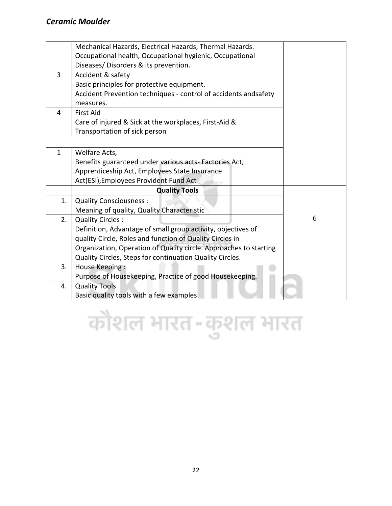|              | Mechanical Hazards, Electrical Hazards, Thermal Hazards.          |   |
|--------------|-------------------------------------------------------------------|---|
|              | Occupational health, Occupational hygienic, Occupational          |   |
|              | Diseases/Disorders & its prevention.                              |   |
| 3            | Accident & safety                                                 |   |
|              | Basic principles for protective equipment.                        |   |
|              | Accident Prevention techniques - control of accidents andsafety   |   |
|              | measures.                                                         |   |
| 4            | <b>First Aid</b>                                                  |   |
|              | Care of injured & Sick at the workplaces, First-Aid &             |   |
|              | Transportation of sick person                                     |   |
|              |                                                                   |   |
| $\mathbf{1}$ | Welfare Acts,                                                     |   |
|              | Benefits guaranteed under various acts-Factories Act,             |   |
|              | Apprenticeship Act, Employees State Insurance                     |   |
|              | Act(ESI), Employees Provident Fund Act                            |   |
|              | <b>Quality Tools</b>                                              |   |
| 1.           | <b>Quality Consciousness:</b>                                     |   |
|              | Meaning of quality, Quality Characteristic                        |   |
| 2.           | <b>Quality Circles:</b>                                           | 6 |
|              | Definition, Advantage of small group activity, objectives of      |   |
|              | quality Circle, Roles and function of Quality Circles in          |   |
|              | Organization, Operation of Quality circle. Approaches to starting |   |
|              | Quality Circles, Steps for continuation Quality Circles.          |   |
| 3.           | House Keeping:                                                    |   |
|              | Purpose of Housekeeping, Practice of good Housekeeping.           |   |
| 4.           | <b>Quality Tools</b>                                              |   |
|              | Basic quality tools with a few examples                           |   |

## कौशल भारत-कुशल भारत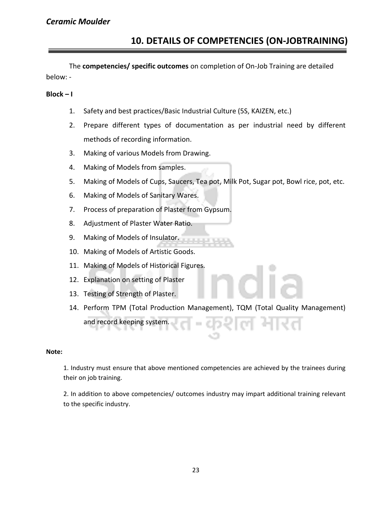The **competencies/ specific outcomes** on completion of On-Job Training are detailed below: -

#### **Block – I**

- 1. Safety and best practices/Basic Industrial Culture (5S, KAIZEN, etc.)
- 2. Prepare different types of documentation as per industrial need by different methods of recording information.
- 3. Making of various Models from Drawing.
- 4. Making of Models from samples.
- 5. Making of Models of Cups, Saucers, Tea pot, Milk Pot, Sugar pot, Bowl rice, pot, etc.
- 6. Making of Models of Sanitary Wares.
- 7. Process of preparation of Plaster from Gypsum.
- 8. Adjustment of Plaster Water Ratio.
- 9. Making of Models of Insulator.
- 10. Making of Models of Artistic Goods.
- 11. Making of Models of Historical Figures.
- 12. Explanation on setting of Plaster
- 13. Testing of Strength of Plaster.
- 14. Perform TPM (Total Production Management), TQM (Total Quality Management) and record keeping system.

#### **Note:**

1. Industry must ensure that above mentioned competencies are achieved by the trainees during their on job training.

2. In addition to above competencies/ outcomes industry may impart additional training relevant to the specific industry.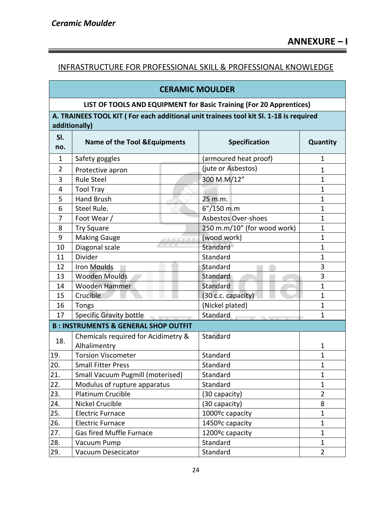÷

### INFRASTRUCTURE FOR PROFESSIONAL SKILL & PROFESSIONAL KNOWLEDGE

### **CERAMIC MOULDER**

### **LIST OF TOOLS AND EQUIPMENT for Basic Training (For 20 Apprentices)**

**A. TRAINEES TOOL KIT ( For each additional unit trainees tool kit Sl. 1-18 is required additionally)** 

| SI.<br>no.     | <b>Name of the Tool &amp; Equipments</b>            | <b>Specification</b>         | Quantity       |
|----------------|-----------------------------------------------------|------------------------------|----------------|
| $\mathbf{1}$   | Safety goggles                                      | (armoured heat proof)        | $\mathbf{1}$   |
| $\overline{2}$ | Protective apron                                    | (jute or Asbestos)           | 1              |
| 3              | <b>Rule Steel</b>                                   | 300 M.M/12"                  | $\mathbf{1}$   |
| 4              | <b>Tool Tray</b>                                    |                              | $\mathbf{1}$   |
| 5              | <b>Hand Brush</b>                                   | 25 m.m.                      | $\mathbf{1}$   |
| 6              | Steel Rule.                                         | 6"/150 m.m                   | $\mathbf{1}$   |
| 7              | Foot Wear /                                         | <b>Asbestos Over-shoes</b>   | $\mathbf{1}$   |
| 8              | <b>Try Square</b>                                   | 250 m.m/10" (for wood work)  | $\mathbf{1}$   |
| 9              | <b>Making Gauge</b>                                 | (wood work)                  | $\mathbf{1}$   |
| 10             | Diagonal scale                                      | Standard                     | $\mathbf{1}$   |
| 11             | Divider                                             | Standard                     | $\mathbf{1}$   |
| 12             | Iron Moulds                                         | Standard                     | 3              |
| 13             | <b>Wooden Moulds</b>                                | Standard                     | 3              |
| 14             | Wooden Hammer                                       | Standard                     | $\mathbf{1}$   |
| 15             | Crucible                                            | (30 c.c. capacity)           | $\mathbf{1}$   |
| 16             | Tongs                                               | (Nickel plated)              | $\mathbf{1}$   |
| 17             | <b>Specific Gravity bottle</b>                      | Standard                     | $\mathbf{1}$   |
|                | <b>B: INSTRUMENTS &amp; GENERAL SHOP OUTFIT</b>     |                              |                |
| 18.            | Chemicals required for Acidimetry &<br>Alhalimentry | Standard                     | $\mathbf{1}$   |
| 19.            | <b>Torsion Viscometer</b>                           | Standard                     | $\mathbf{1}$   |
| 20.            | <b>Small Fitter Press</b>                           | Standard                     | $\mathbf{1}$   |
| 21.            | Small Vacuum Pugmill (moterised)                    | Standard                     | $\mathbf{1}$   |
| 22.            | Modulus of rupture apparatus                        | Standard                     | $\mathbf{1}$   |
| 23.            | <b>Platinum Crucible</b>                            | (30 capacity)                | $\overline{2}$ |
| 24.            | <b>Nickel Crucible</b>                              | (30 capacity)                | 8              |
| 25.            | <b>Electric Furnace</b>                             | 1000°c capacity              | $\mathbf{1}$   |
| 26.            | <b>Electric Furnace</b>                             | 1450 <sup>o</sup> c capacity | $\mathbf{1}$   |
| 27.            | Gas fired Muffle Furnace                            | 1200ºc capacity              | $\mathbf{1}$   |
| 28.            | Vacuum Pump                                         | Standard                     | $\mathbf 1$    |
| 29.            | <b>Vacuum Desecicator</b>                           | Standard                     | $\overline{2}$ |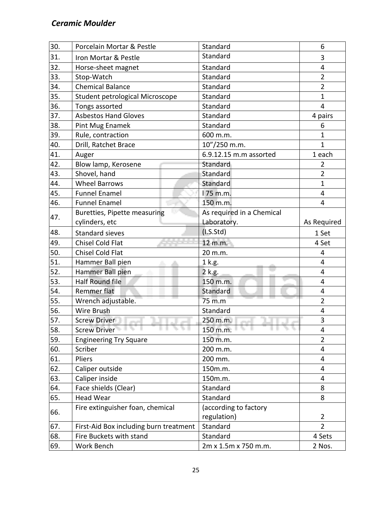| 30. | Porcelain Mortar & Pestle                 | Standard                  | 6              |
|-----|-------------------------------------------|---------------------------|----------------|
| 31. | Iron Mortar & Pestle                      | Standard                  | 3              |
| 32. | Horse-sheet magnet                        | Standard                  | 4              |
| 33. | Stop-Watch                                | Standard                  | $\overline{2}$ |
| 34. | <b>Chemical Balance</b>                   | Standard                  | $\overline{2}$ |
| 35. | Student petrological Microscope           | Standard                  | $\mathbf{1}$   |
| 36. | Tongs assorted                            | Standard                  | 4              |
| 37. | <b>Asbestos Hand Gloves</b>               | Standard                  | 4 pairs        |
| 38. | Pint Mug Enamek                           | Standard                  | 6              |
| 39. | Rule, contraction                         | 600 m.m.                  | $\mathbf{1}$   |
| 40. | Drill, Ratchet Brace                      | 10"/250 m.m.              | $\mathbf{1}$   |
| 41. | Auger                                     | 6.9.12.15 m.m assorted    | 1 each         |
| 42. | Blow lamp, Kerosene                       | Standard                  | $\overline{2}$ |
| 43. | Shovel, hand                              | Standard                  | $\overline{2}$ |
| 44. | <b>Wheel Barrows</b>                      | Standard                  | $\mathbf{1}$   |
| 45. | <b>Funnel Enamel</b>                      | 175 m.m.                  | 4              |
| 46. | <b>Funnel Enamel</b>                      | 150 m.m.                  | 4              |
|     | Buretties, Pipette measuring              | As required in a Chemical |                |
| 47. | cylinders, etc                            | Laboratory.               | As Required    |
| 48. | <b>Standard sieves</b>                    | (I.S.Std)                 | 1 Set          |
| 49. | <b>Chisel Cold Flat</b>                   | 12 m.m.                   | 4 Set          |
| 50. | <b>Chisel Cold Flat</b>                   | 20 m.m.                   | 4              |
| 51. | Hammer Ball pien                          | 1 k.g.                    | $\overline{4}$ |
| 52. | Hammer Ball pien                          | 2 k.g.                    | 4              |
| 53. | <b>Half Round file</b>                    | 150 m.m.                  | 4              |
| 54. | Remmer flat                               | Standard                  | 4              |
| 55. | Wrench adjustable.                        | 75 m.m                    | $\overline{2}$ |
| 56. | Wire Brush                                | Standard                  | 4              |
| 57. | <b>Screw Driver</b>                       | 250 m.m.<br>a se          | 3              |
| 58. | <b>Screw Driver</b><br><b>ALC: NO AND</b> | 150 m.m.                  | 4              |
| 59. | <b>Engineering Try Square</b>             | 150 m.m.                  | $\overline{2}$ |
| 60. | Scriber                                   | 200 m.m.                  | 4              |
| 61. | Pliers                                    | 200 mm.                   | 4              |
| 62. | Caliper outside                           | 150m.m.                   | 4              |
| 63. | Caliper inside                            | 150m.m.                   | 4              |
| 64. | Face shields (Clear)                      | Standard                  | 8              |
| 65. | <b>Head Wear</b>                          | Standard                  | 8              |
|     | Fire extinguisher foan, chemical          | (according to factory     |                |
| 66. |                                           | regulation)               | 2              |
| 67. | First-Aid Box including burn treatment    | Standard                  | $\overline{2}$ |
| 68. | Fire Buckets with stand                   | Standard                  | 4 Sets         |
| 69. | Work Bench                                | 2m x 1.5m x 750 m.m.      | 2 Nos.         |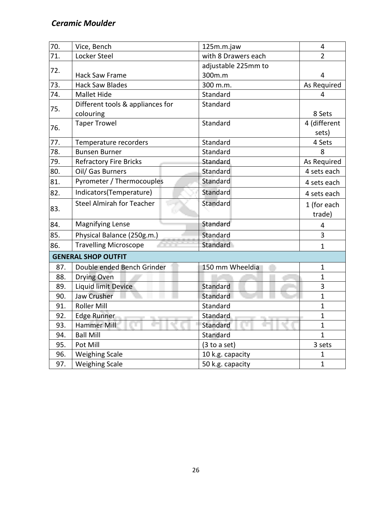| 70. | Vice, Bench                      | 125m.m.jaw          | 4              |
|-----|----------------------------------|---------------------|----------------|
| 71. | Locker Steel                     | with 8 Drawers each | $\overline{2}$ |
| 72. |                                  | adjustable 225mm to |                |
|     | Hack Saw Frame                   | 300m.m              | 4              |
| 73. | <b>Hack Saw Blades</b>           | 300 m.m.            | As Required    |
| 74. | <b>Mallet Hide</b>               | Standard            | 4              |
| 75. | Different tools & appliances for | Standard            |                |
|     | colouring                        |                     | 8 Sets         |
| 76. | <b>Taper Trowel</b>              | Standard            | 4 (different   |
|     |                                  |                     | sets)          |
| 77. | Temperature recorders            | Standard            | 4 Sets         |
| 78. | <b>Bunsen Burner</b>             | Standard            | 8              |
| 79. | <b>Refractory Fire Bricks</b>    | Standard            | As Required    |
| 80. | Oil/ Gas Burners                 | Standard            | 4 sets each    |
| 81. | Pyrometer / Thermocouples        | Standard            | 4 sets each    |
| 82. | Indicators(Temperature)          | Standard            | 4 sets each    |
| 83. | <b>Steel Almirah for Teacher</b> | Standard            | 1 (for each    |
|     |                                  |                     | trade)         |
| 84. | <b>Magnifying Lense</b>          | Standard            | 4              |
| 85. | Physical Balance (250g.m.)       | Standard            | 3              |
| 86. | <b>Travelling Microscope</b>     | Standard            | $\mathbf{1}$   |
|     | <b>GENERAL SHOP OUTFIT</b>       |                     |                |
| 87. | Double ended Bench Grinder       | 150 mm Wheeldia     | $\mathbf 1$    |
| 88. | Drying Oven                      |                     | $\mathbf{1}$   |
| 89. | <b>Liquid limit Device</b>       | Standard            | 3              |
| 90. | Jaw Crusher                      | Standard            | $\mathbf{1}$   |
| 91. | <b>Roller Mill</b>               | Standard            | $\mathbf{1}$   |
| 92. | Edge Runner                      | Standard            | $\mathbf{1}$   |
| 93. | Hammer Mill                      | Standard            | $\mathbf{1}$   |
| 94. | <b>Ball Mill</b>                 | Standard            | $\mathbf{1}$   |
| 95. | Pot Mill                         | (3 to a set)        | 3 sets         |
| 96. | <b>Weighing Scale</b>            | 10 k.g. capacity    | $\mathbf 1$    |
| 97. | <b>Weighing Scale</b>            | 50 k.g. capacity    | $\mathbf{1}$   |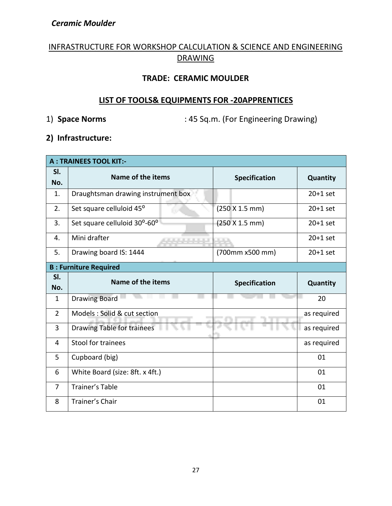### INFRASTRUCTURE FOR WORKSHOP CALCULATION & SCIENCE AND ENGINEERING DRAWING

### **TRADE: CERAMIC MOULDER**

### **LIST OF TOOLS& EQUIPMENTS FOR -20APPRENTICES**

1) **Space Norms** : 45 Sq.m. (For Engineering Drawing)

### **2) Infrastructure:**

| <b>A: TRAINEES TOOL KIT:-</b> |                                      |                      |             |
|-------------------------------|--------------------------------------|----------------------|-------------|
| SI.<br>No.                    | Name of the items                    | <b>Specification</b> | Quantity    |
| 1.                            | Draughtsman drawing instrument box   |                      | $20+1$ set  |
| 2.                            | Set square celluloid 45 <sup>o</sup> | (250 X 1.5 mm)       | $20+1$ set  |
| 3.                            | Set square celluloid 30°-60°         | (250 X 1.5 mm)       | $20+1$ set  |
| 4.                            | Mini drafter                         |                      | $20+1$ set  |
| 5.                            | Drawing board IS: 1444               | (700mm x500 mm)      | $20+1$ set  |
|                               | <b>B: Furniture Required</b>         |                      |             |
| SI.<br>No.                    | Name of the items                    | <b>Specification</b> | Quantity    |
|                               |                                      |                      |             |
| $\mathbf{1}$                  | <b>Drawing Board</b>                 |                      | 20          |
| $\overline{2}$                | Models: Solid & cut section          |                      | as required |
| 3                             | <b>Drawing Table for trainees</b>    |                      | as required |
| 4                             | Stool for trainees                   |                      | as required |
| 5                             | Cupboard (big)                       |                      | 01          |
| 6                             | White Board (size: 8ft. x 4ft.)      |                      | 01          |
| $\overline{7}$                | <b>Trainer's Table</b>               |                      | 01          |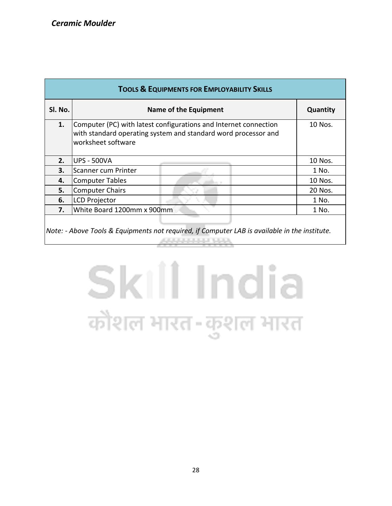| <b>TOOLS &amp; EQUIPMENTS FOR EMPLOYABILITY SKILLS</b>                                                |                                                                                                                                                          |          |  |
|-------------------------------------------------------------------------------------------------------|----------------------------------------------------------------------------------------------------------------------------------------------------------|----------|--|
| Sl. No.                                                                                               | Name of the Equipment                                                                                                                                    | Quantity |  |
| 1.                                                                                                    | Computer (PC) with latest configurations and Internet connection<br>with standard operating system and standard word processor and<br>worksheet software | 10 Nos.  |  |
| 2.                                                                                                    | <b>UPS - 500VA</b>                                                                                                                                       | 10 Nos.  |  |
| 3.                                                                                                    | Scanner cum Printer                                                                                                                                      | 1 No.    |  |
| 4.                                                                                                    | <b>Computer Tables</b>                                                                                                                                   | 10 Nos.  |  |
| 5.                                                                                                    | <b>Computer Chairs</b>                                                                                                                                   | 20 Nos.  |  |
| 6.                                                                                                    | <b>LCD Projector</b>                                                                                                                                     | 1 No.    |  |
| 7.                                                                                                    | White Board 1200mm x 900mm                                                                                                                               | 1 No.    |  |
| $\vert$ Note: - Above Tools & Equipments not required, if Computer LAB is available in the institute. |                                                                                                                                                          |          |  |

# Skill India कौशल भारत-कुशल भारत

**ARRAIGHTHA**